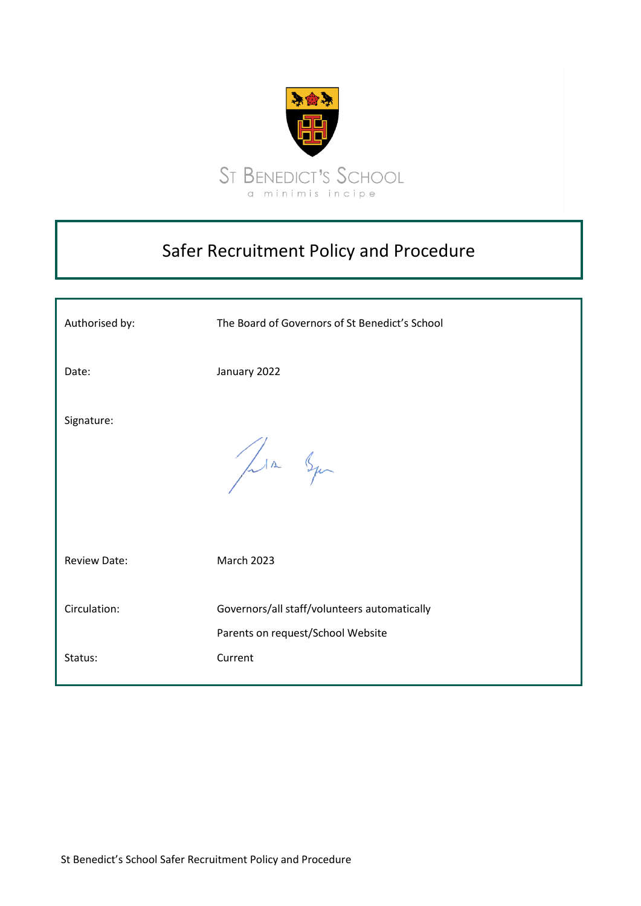

# Safer Recruitment Policy and Procedure

| Authorised by:      | The Board of Governors of St Benedict's School                                    |
|---------------------|-----------------------------------------------------------------------------------|
| Date:               | January 2022                                                                      |
| Signature:          | Jula Squ                                                                          |
| <b>Review Date:</b> | <b>March 2023</b>                                                                 |
| Circulation:        | Governors/all staff/volunteers automatically<br>Parents on request/School Website |
| Status:             | Current                                                                           |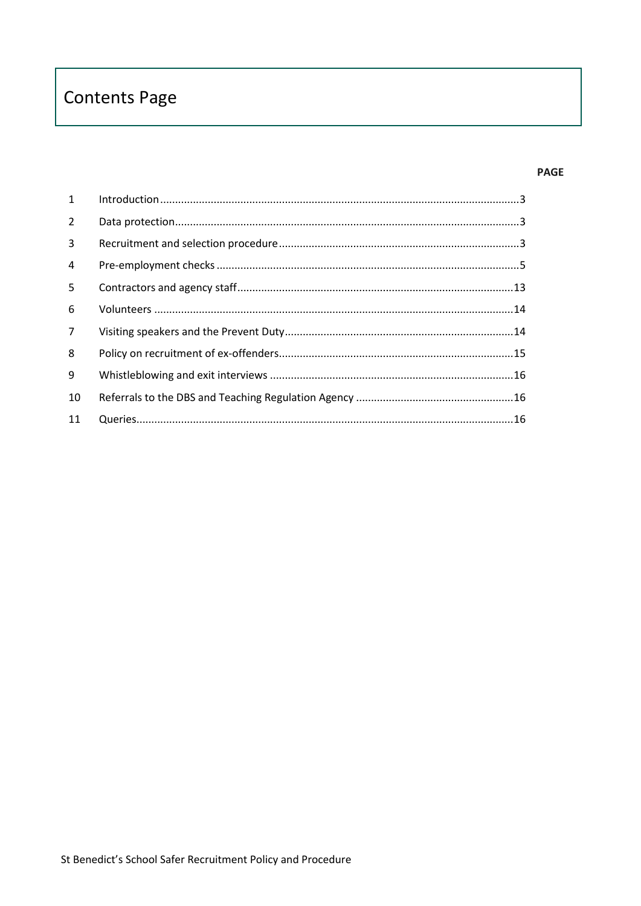# **Contents Page**

#### **PAGE**

| $\mathbf{1}$ |  |
|--------------|--|
| 2            |  |
| 3            |  |
| 4            |  |
| 5            |  |
| 6            |  |
| $7^{\circ}$  |  |
| 8            |  |
| 9            |  |
| 10           |  |
| 11           |  |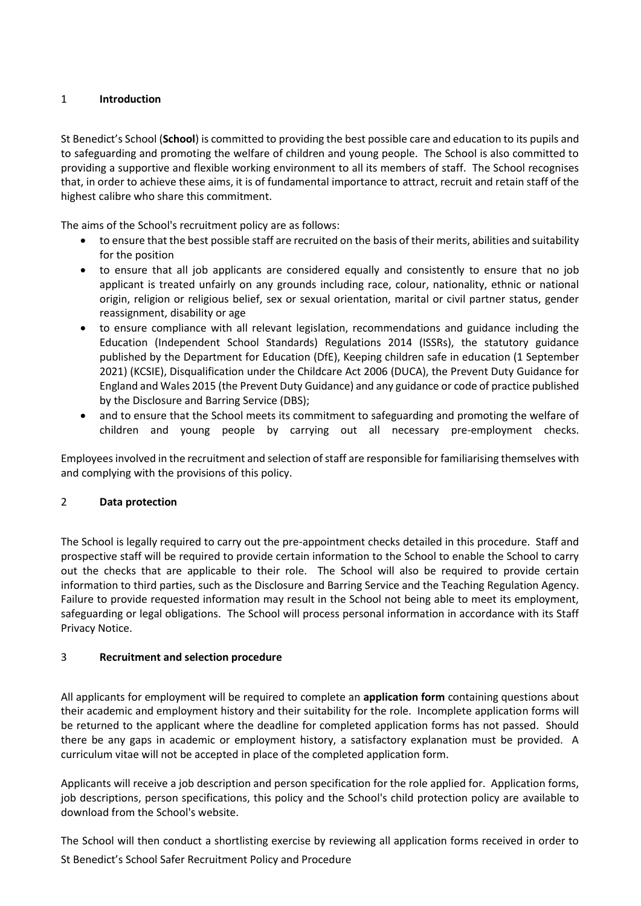#### <span id="page-2-0"></span>1 **Introduction**

St Benedict's School (**School**) is committed to providing the best possible care and education to its pupils and to safeguarding and promoting the welfare of children and young people. The School is also committed to providing a supportive and flexible working environment to all its members of staff. The School recognises that, in order to achieve these aims, it is of fundamental importance to attract, recruit and retain staff of the highest calibre who share this commitment.

The aims of the School's recruitment policy are as follows:

- to ensure that the best possible staff are recruited on the basis of their merits, abilities and suitability for the position
- to ensure that all job applicants are considered equally and consistently to ensure that no job applicant is treated unfairly on any grounds including race, colour, nationality, ethnic or national origin, religion or religious belief, sex or sexual orientation, marital or civil partner status, gender reassignment, disability or age
- to ensure compliance with all relevant legislation, recommendations and guidance including the Education (Independent School Standards) Regulations 2014 (ISSRs), the statutory guidance published by the Department for Education (DfE), Keeping children safe in education (1 September 2021) (KCSIE), Disqualification under the Childcare Act 2006 (DUCA), the Prevent Duty Guidance for England and Wales 2015 (the Prevent Duty Guidance) and any guidance or code of practice published by the Disclosure and Barring Service (DBS);
- and to ensure that the School meets its commitment to safeguarding and promoting the welfare of children and young people by carrying out all necessary pre-employment checks.

Employees involved in the recruitment and selection of staff are responsible for familiarising themselves with and complying with the provisions of this policy.

#### <span id="page-2-1"></span>2 **Data protection**

The School is legally required to carry out the pre-appointment checks detailed in this procedure. Staff and prospective staff will be required to provide certain information to the School to enable the School to carry out the checks that are applicable to their role. The School will also be required to provide certain information to third parties, such as the Disclosure and Barring Service and the Teaching Regulation Agency. Failure to provide requested information may result in the School not being able to meet its employment, safeguarding or legal obligations. The School will process personal information in accordance with its Staff Privacy Notice.

#### <span id="page-2-2"></span>3 **Recruitment and selection procedure**

All applicants for employment will be required to complete an **application form** containing questions about their academic and employment history and their suitability for the role. Incomplete application forms will be returned to the applicant where the deadline for completed application forms has not passed. Should there be any gaps in academic or employment history, a satisfactory explanation must be provided. A curriculum vitae will not be accepted in place of the completed application form.

Applicants will receive a job description and person specification for the role applied for. Application forms, job descriptions, person specifications, this policy and the School's child protection policy are available to download from the School's website.

St Benedict's School Safer Recruitment Policy and Procedure The School will then conduct a shortlisting exercise by reviewing all application forms received in order to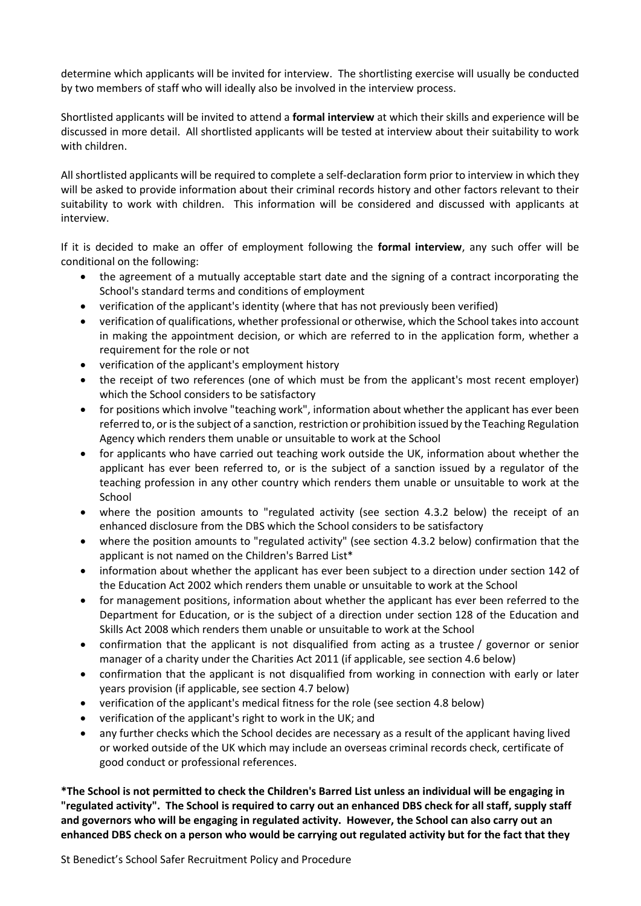determine which applicants will be invited for interview. The shortlisting exercise will usually be conducted by two members of staff who will ideally also be involved in the interview process.

Shortlisted applicants will be invited to attend a **formal interview** at which their skills and experience will be discussed in more detail. All shortlisted applicants will be tested at interview about their suitability to work with children.

All shortlisted applicants will be required to complete a self-declaration form prior to interview in which they will be asked to provide information about their criminal records history and other factors relevant to their suitability to work with children. This information will be considered and discussed with applicants at interview.

If it is decided to make an offer of employment following the **formal interview**, any such offer will be conditional on the following:

- the agreement of a mutually acceptable start date and the signing of a contract incorporating the School's standard terms and conditions of employment
- verification of the applicant's identity (where that has not previously been verified)
- verification of qualifications, whether professional or otherwise, which the School takes into account in making the appointment decision, or which are referred to in the application form, whether a requirement for the role or not
- verification of the applicant's employment history
- the receipt of two references (one of which must be from the applicant's most recent employer) which the School considers to be satisfactory
- for positions which involve "teaching work", information about whether the applicant has ever been referred to, or is the subject of a sanction, restriction or prohibition issued by the Teaching Regulation Agency which renders them unable or unsuitable to work at the School
- for applicants who have carried out teaching work outside the UK, information about whether the applicant has ever been referred to, or is the subject of a sanction issued by a regulator of the teaching profession in any other country which renders them unable or unsuitable to work at the School
- where the position amounts to "regulated activity (see section [4.3.2](#page-7-0) below) the receipt of an enhanced disclosure from the DBS which the School considers to be satisfactory
- where the position amounts to "regulated activity" (see section [4.3.2](#page-7-0) below) confirmation that the applicant is not named on the Children's Barred List\*
- information about whether the applicant has ever been subject to a direction under section 142 of the Education Act 2002 which renders them unable or unsuitable to work at the School
- for management positions, information about whether the applicant has ever been referred to the Department for Education, or is the subject of a direction under section 128 of the Education and Skills Act 2008 which renders them unable or unsuitable to work at the School
- confirmation that the applicant is not disqualified from acting as a trustee / governor or senior manager of a charity under the Charities Act 2011 (if applicable, see section [4.6](#page-9-0) below)
- confirmation that the applicant is not disqualified from working in connection with early or later years provision (if applicable, see section [4.7](#page-10-0) below)
- verification of the applicant's medical fitness for the role (see section [4.8](#page-12-1) below)
- verification of the applicant's right to work in the UK; and
- any further checks which the School decides are necessary as a result of the applicant having lived or worked outside of the UK which may include an overseas criminal records check, certificate of good conduct or professional references.

**\*The School is not permitted to check the Children's Barred List unless an individual will be engaging in "regulated activity". The School is required to carry out an enhanced DBS check for all staff, supply staff and governors who will be engaging in regulated activity. However, the School can also carry out an enhanced DBS check on a person who would be carrying out regulated activity but for the fact that they**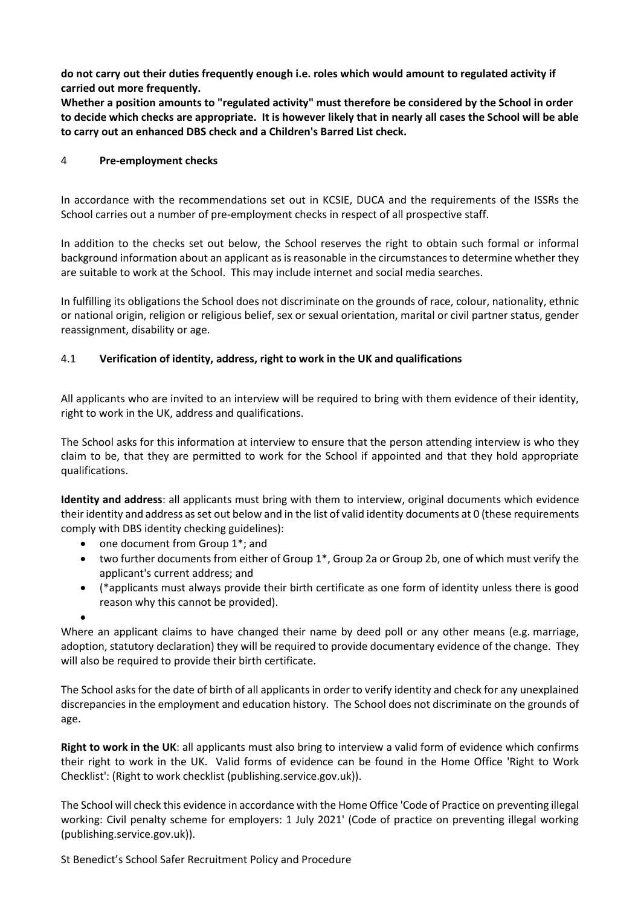**do not carry out their duties frequently enough i.e. roles which would amount to regulated activity if carried out more frequently.**

**Whether a position amounts to "regulated activity" must therefore be considered by the School in order to decide which checks are appropriate. It is however likely that in nearly all cases the School will be able to carry out an enhanced DBS check and a Children's Barred List check.**

#### <span id="page-4-0"></span>4 **Pre-employment checks**

In accordance with the recommendations set out in KCSIE, DUCA and the requirements of the ISSRs the School carries out a number of pre-employment checks in respect of all prospective staff.

In addition to the checks set out below, the School reserves the right to obtain such formal or informal background information about an applicant as is reasonable in the circumstances to determine whether they are suitable to work at the School. This may include internet and social media searches.

In fulfilling its obligations the School does not discriminate on the grounds of race, colour, nationality, ethnic or national origin, religion or religious belief, sex or sexual orientation, marital or civil partner status, gender reassignment, disability or age.

## <span id="page-4-1"></span>4.1 **Verification of identity, address, right to work in the UK and qualifications**

All applicants who are invited to an interview will be required to bring with them evidence of their identity, right to work in the UK, address and qualifications.

The School asks for this information at interview to ensure that the person attending interview is who they claim to be, that they are permitted to work for the School if appointed and that they hold appropriate qualifications.

**Identity and address**: all applicants must bring with them to interview, original documents which evidence their identity and address as set out below and in the list of valid identity documents a[t 0](#page-16-0) (these requirements comply with DBS identity checking guidelines):

- one document from Group 1<sup>\*</sup>; and
- two further documents from either of Group 1<sup>\*</sup>, Group 2a or Group 2b, one of which must verify the applicant's current address; and
- (\*applicants must always provide their birth certificate as one form of identity unless there is good reason why this cannot be provided).

•

Where an applicant claims to have changed their name by deed poll or any other means (e.g. marriage, adoption, statutory declaration) they will be required to provide documentary evidence of the change. They will also be required to provide their birth certificate.

The School asks for the date of birth of all applicants in order to verify identity and check for any unexplained discrepancies in the employment and education history. The School does not discriminate on the grounds of age.

**Right to work in the UK**: all applicants must also bring to interview a valid form of evidence which confirms their right to work in the UK. Valid forms of evidence can be found in the Home Office 'Right to Work Checklist': (Right to work checklist (publishing.service.gov.uk)).

The School will check this evidence in accordance with the Home Office 'Code of Practice on preventing illegal working: Civil penalty scheme for employers: 1 July 2021' (Code of practice on preventing illegal working (publishing.service.gov.uk)).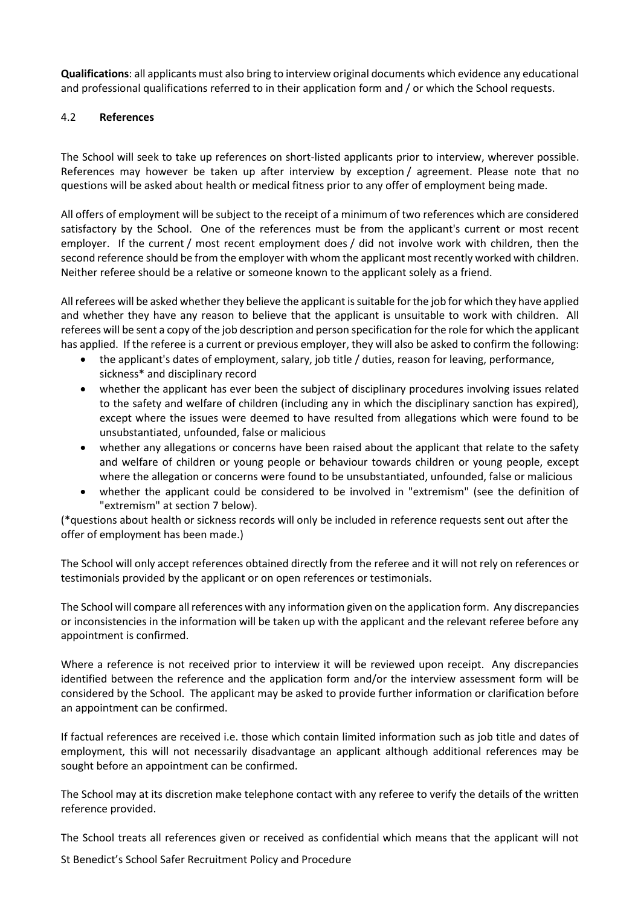**Qualifications**: all applicants must also bring to interview original documents which evidence any educational and professional qualifications referred to in their application form and / or which the School requests.

#### 4.2 **References**

The School will seek to take up references on short-listed applicants prior to interview, wherever possible. References may however be taken up after interview by exception / agreement. Please note that no questions will be asked about health or medical fitness prior to any offer of employment being made.

All offers of employment will be subject to the receipt of a minimum of two references which are considered satisfactory by the School. One of the references must be from the applicant's current or most recent employer. If the current / most recent employment does / did not involve work with children, then the second reference should be from the employer with whom the applicant most recently worked with children. Neither referee should be a relative or someone known to the applicant solely as a friend.

All referees will be asked whether they believe the applicant is suitable for the job for which they have applied and whether they have any reason to believe that the applicant is unsuitable to work with children. All referees will be sent a copy of the job description and person specification for the role for which the applicant has applied. If the referee is a current or previous employer, they will also be asked to confirm the following:

- the applicant's dates of employment, salary, job title / duties, reason for leaving, performance, sickness\* and disciplinary record
- whether the applicant has ever been the subject of disciplinary procedures involving issues related to the safety and welfare of children (including any in which the disciplinary sanction has expired), except where the issues were deemed to have resulted from allegations which were found to be unsubstantiated, unfounded, false or malicious
- whether any allegations or concerns have been raised about the applicant that relate to the safety and welfare of children or young people or behaviour towards children or young people, except where the allegation or concerns were found to be unsubstantiated, unfounded, false or malicious
- whether the applicant could be considered to be involved in "extremism" (see the definition of "extremism" at section [7](#page-13-1) below).

(\*questions about health or sickness records will only be included in reference requests sent out after the offer of employment has been made.)

The School will only accept references obtained directly from the referee and it will not rely on references or testimonials provided by the applicant or on open references or testimonials.

The School will compare all references with any information given on the application form. Any discrepancies or inconsistencies in the information will be taken up with the applicant and the relevant referee before any appointment is confirmed.

Where a reference is not received prior to interview it will be reviewed upon receipt. Any discrepancies identified between the reference and the application form and/or the interview assessment form will be considered by the School. The applicant may be asked to provide further information or clarification before an appointment can be confirmed.

If factual references are received i.e. those which contain limited information such as job title and dates of employment, this will not necessarily disadvantage an applicant although additional references may be sought before an appointment can be confirmed.

The School may at its discretion make telephone contact with any referee to verify the details of the written reference provided.

The School treats all references given or received as confidential which means that the applicant will not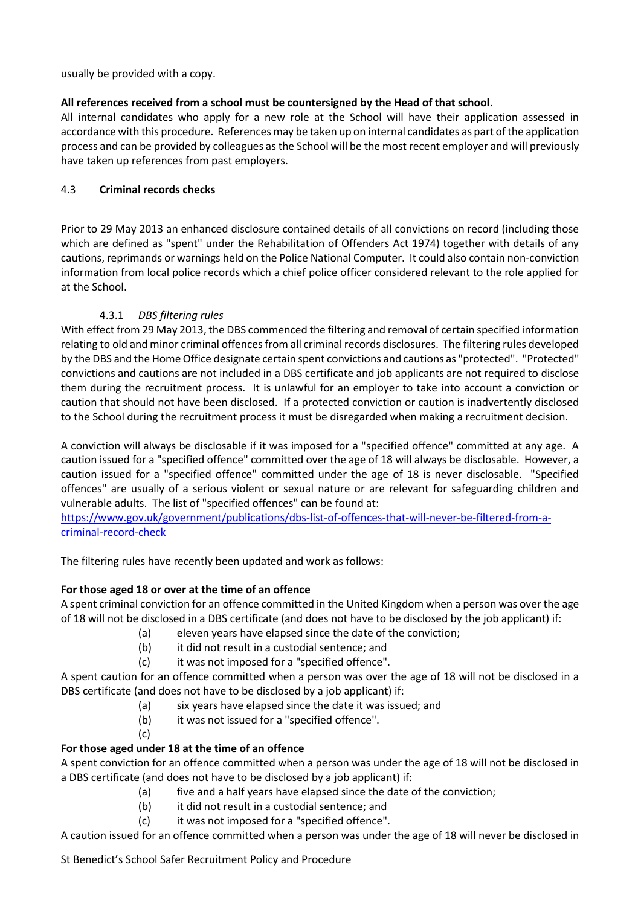usually be provided with a copy.

## **All references received from a school must be countersigned by the Head of that school**.

All internal candidates who apply for a new role at the School will have their application assessed in accordance with this procedure. References may be taken up on internal candidates as part of the application process and can be provided by colleagues as the School will be the most recent employer and will previously have taken up references from past employers.

## 4.3 **Criminal records checks**

Prior to 29 May 2013 an enhanced disclosure contained details of all convictions on record (including those which are defined as "spent" under the Rehabilitation of Offenders Act 1974) together with details of any cautions, reprimands or warnings held on the Police National Computer. It could also contain non-conviction information from local police records which a chief police officer considered relevant to the role applied for at the School.

# 4.3.1 *DBS filtering rules*

<span id="page-6-0"></span>With effect from 29 May 2013, the DBS commenced the filtering and removal of certain specified information relating to old and minor criminal offences from all criminal records disclosures. The filtering rules developed by the DBS and the Home Office designate certain spent convictions and cautions as "protected". "Protected" convictions and cautions are not included in a DBS certificate and job applicants are not required to disclose them during the recruitment process. It is unlawful for an employer to take into account a conviction or caution that should not have been disclosed. If a protected conviction or caution is inadvertently disclosed to the School during the recruitment process it must be disregarded when making a recruitment decision.

A conviction will always be disclosable if it was imposed for a "specified offence" committed at any age. A caution issued for a "specified offence" committed over the age of 18 will always be disclosable. However, a caution issued for a "specified offence" committed under the age of 18 is never disclosable. "Specified offences" are usually of a serious violent or sexual nature or are relevant for safeguarding children and vulnerable adults. The list of "specified offences" can be found at:

[https://www.gov.uk/government/publications/dbs-list-of-offences-that-will-never-be-filtered-from-a](https://www.gov.uk/government/publications/dbs-list-of-offences-that-will-never-be-filtered-from-a-criminal-record-check)[criminal-record-check](https://www.gov.uk/government/publications/dbs-list-of-offences-that-will-never-be-filtered-from-a-criminal-record-check)

The filtering rules have recently been updated and work as follows:

## **For those aged 18 or over at the time of an offence**

A spent criminal conviction for an offence committed in the United Kingdom when a person was over the age of 18 will not be disclosed in a DBS certificate (and does not have to be disclosed by the job applicant) if:

- (a) eleven years have elapsed since the date of the conviction;
- (b) it did not result in a custodial sentence; and
- (c) it was not imposed for a "specified offence".

A spent caution for an offence committed when a person was over the age of 18 will not be disclosed in a DBS certificate (and does not have to be disclosed by a job applicant) if:

- (a) six years have elapsed since the date it was issued; and
- (b) it was not issued for a "specified offence".
- (c)

## **For those aged under 18 at the time of an offence**

A spent conviction for an offence committed when a person was under the age of 18 will not be disclosed in a DBS certificate (and does not have to be disclosed by a job applicant) if:

- (a) five and a half years have elapsed since the date of the conviction;
- (b) it did not result in a custodial sentence; and
- (c) it was not imposed for a "specified offence".

A caution issued for an offence committed when a person was under the age of 18 will never be disclosed in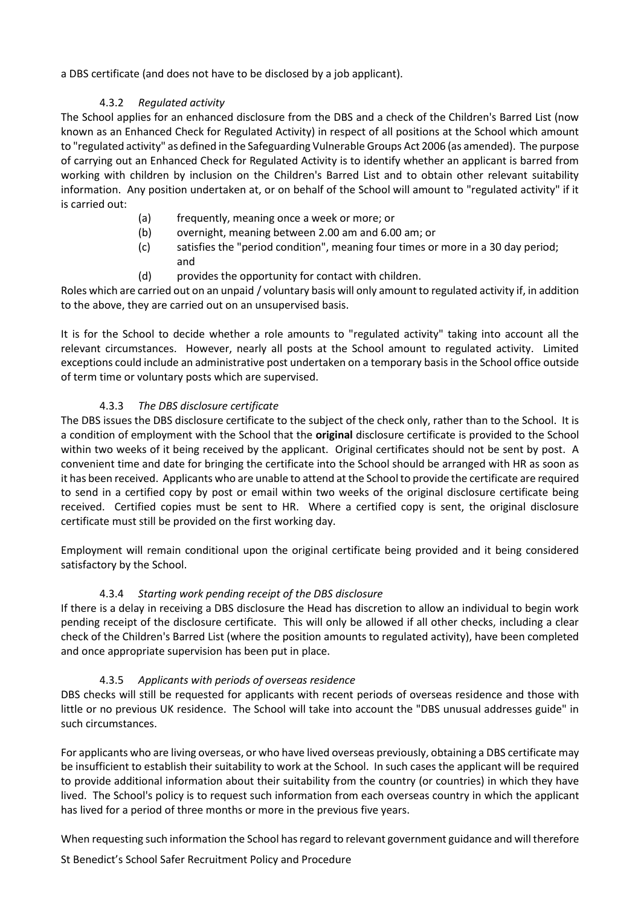a DBS certificate (and does not have to be disclosed by a job applicant).

# 4.3.2 *Regulated activity*

<span id="page-7-0"></span>The School applies for an enhanced disclosure from the DBS and a check of the Children's Barred List (now known as an Enhanced Check for Regulated Activity) in respect of all positions at the School which amount to "regulated activity" as defined in the Safeguarding Vulnerable Groups Act 2006 (as amended). The purpose of carrying out an Enhanced Check for Regulated Activity is to identify whether an applicant is barred from working with children by inclusion on the Children's Barred List and to obtain other relevant suitability information. Any position undertaken at, or on behalf of the School will amount to "regulated activity" if it is carried out:

- (a) frequently, meaning once a week or more; or
- (b) overnight, meaning between 2.00 am and 6.00 am; or
- (c) satisfies the "period condition", meaning four times or more in a 30 day period; and
- (d) provides the opportunity for contact with children.

Roles which are carried out on an unpaid / voluntary basis will only amount to regulated activity if, in addition to the above, they are carried out on an unsupervised basis.

It is for the School to decide whether a role amounts to "regulated activity" taking into account all the relevant circumstances. However, nearly all posts at the School amount to regulated activity. Limited exceptions could include an administrative post undertaken on a temporary basis in the School office outside of term time or voluntary posts which are supervised.

## 4.3.3 *The DBS disclosure certificate*

The DBS issues the DBS disclosure certificate to the subject of the check only, rather than to the School. It is a condition of employment with the School that the **original** disclosure certificate is provided to the School within two weeks of it being received by the applicant. Original certificates should not be sent by post. A convenient time and date for bringing the certificate into the School should be arranged with HR as soon as it has been received. Applicants who are unable to attend at the School to provide the certificate are required to send in a certified copy by post or email within two weeks of the original disclosure certificate being received. Certified copies must be sent to HR. Where a certified copy is sent, the original disclosure certificate must still be provided on the first working day.

Employment will remain conditional upon the original certificate being provided and it being considered satisfactory by the School.

# 4.3.4 *Starting work pending receipt of the DBS disclosure*

If there is a delay in receiving a DBS disclosure the Head has discretion to allow an individual to begin work pending receipt of the disclosure certificate. This will only be allowed if all other checks, including a clear check of the Children's Barred List (where the position amounts to regulated activity), have been completed and once appropriate supervision has been put in place.

## 4.3.5 *Applicants with periods of overseas residence*

DBS checks will still be requested for applicants with recent periods of overseas residence and those with little or no previous UK residence. The School will take into account the "DBS unusual addresses guide" in such circumstances.

For applicants who are living overseas, or who have lived overseas previously, obtaining a DBS certificate may be insufficient to establish their suitability to work at the School. In such cases the applicant will be required to provide additional information about their suitability from the country (or countries) in which they have lived. The School's policy is to request such information from each overseas country in which the applicant has lived for a period of three months or more in the previous five years.

When requesting such information the School has regard to relevant government guidance and will therefore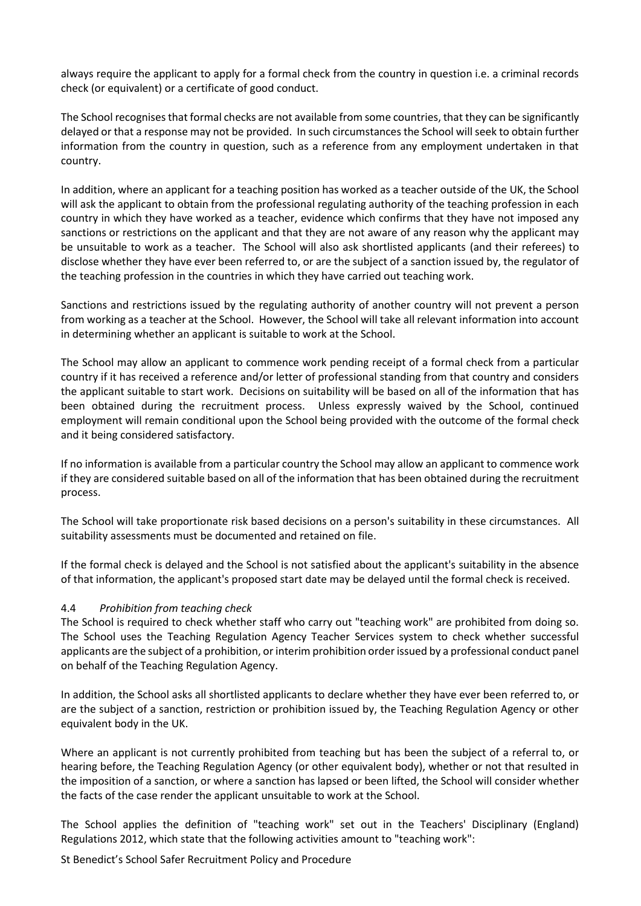always require the applicant to apply for a formal check from the country in question i.e. a criminal records check (or equivalent) or a certificate of good conduct.

The School recognises that formal checks are not available from some countries, that they can be significantly delayed or that a response may not be provided. In such circumstances the School will seek to obtain further information from the country in question, such as a reference from any employment undertaken in that country.

In addition, where an applicant for a teaching position has worked as a teacher outside of the UK, the School will ask the applicant to obtain from the professional regulating authority of the teaching profession in each country in which they have worked as a teacher, evidence which confirms that they have not imposed any sanctions or restrictions on the applicant and that they are not aware of any reason why the applicant may be unsuitable to work as a teacher. The School will also ask shortlisted applicants (and their referees) to disclose whether they have ever been referred to, or are the subject of a sanction issued by, the regulator of the teaching profession in the countries in which they have carried out teaching work.

Sanctions and restrictions issued by the regulating authority of another country will not prevent a person from working as a teacher at the School. However, the School will take all relevant information into account in determining whether an applicant is suitable to work at the School.

The School may allow an applicant to commence work pending receipt of a formal check from a particular country if it has received a reference and/or letter of professional standing from that country and considers the applicant suitable to start work. Decisions on suitability will be based on all of the information that has been obtained during the recruitment process. Unless expressly waived by the School, continued employment will remain conditional upon the School being provided with the outcome of the formal check and it being considered satisfactory.

If no information is available from a particular country the School may allow an applicant to commence work if they are considered suitable based on all of the information that has been obtained during the recruitment process.

The School will take proportionate risk based decisions on a person's suitability in these circumstances. All suitability assessments must be documented and retained on file.

If the formal check is delayed and the School is not satisfied about the applicant's suitability in the absence of that information, the applicant's proposed start date may be delayed until the formal check is received.

## 4.4 *Prohibition from teaching check*

The School is required to check whether staff who carry out "teaching work" are prohibited from doing so. The School uses the Teaching Regulation Agency Teacher Services system to check whether successful applicants are the subject of a prohibition, or interim prohibition order issued by a professional conduct panel on behalf of the Teaching Regulation Agency.

In addition, the School asks all shortlisted applicants to declare whether they have ever been referred to, or are the subject of a sanction, restriction or prohibition issued by, the Teaching Regulation Agency or other equivalent body in the UK.

Where an applicant is not currently prohibited from teaching but has been the subject of a referral to, or hearing before, the Teaching Regulation Agency (or other equivalent body), whether or not that resulted in the imposition of a sanction, or where a sanction has lapsed or been lifted, the School will consider whether the facts of the case render the applicant unsuitable to work at the School.

The School applies the definition of "teaching work" set out in the Teachers' Disciplinary (England) Regulations 2012, which state that the following activities amount to "teaching work":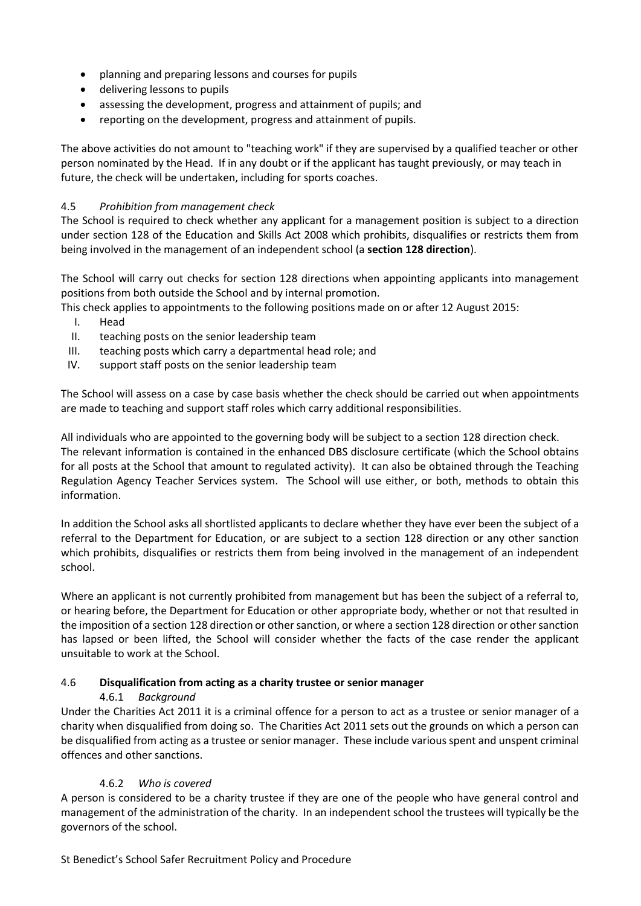- planning and preparing lessons and courses for pupils
- delivering lessons to pupils
- assessing the development, progress and attainment of pupils; and
- reporting on the development, progress and attainment of pupils.

The above activities do not amount to "teaching work" if they are supervised by a qualified teacher or other person nominated by the Head. If in any doubt or if the applicant has taught previously, or may teach in future, the check will be undertaken, including for sports coaches.

## 4.5 *Prohibition from management check*

The School is required to check whether any applicant for a management position is subject to a direction under section 128 of the Education and Skills Act 2008 which prohibits, disqualifies or restricts them from being involved in the management of an independent school (a **section 128 direction**).

The School will carry out checks for section 128 directions when appointing applicants into management positions from both outside the School and by internal promotion.

This check applies to appointments to the following positions made on or after 12 August 2015:

- I. Head
- II. teaching posts on the senior leadership team
- III. teaching posts which carry a departmental head role; and
- IV. support staff posts on the senior leadership team

The School will assess on a case by case basis whether the check should be carried out when appointments are made to teaching and support staff roles which carry additional responsibilities.

All individuals who are appointed to the governing body will be subject to a section 128 direction check. The relevant information is contained in the enhanced DBS disclosure certificate (which the School obtains for all posts at the School that amount to regulated activity). It can also be obtained through the Teaching Regulation Agency Teacher Services system. The School will use either, or both, methods to obtain this information.

In addition the School asks all shortlisted applicants to declare whether they have ever been the subject of a referral to the Department for Education, or are subject to a section 128 direction or any other sanction which prohibits, disqualifies or restricts them from being involved in the management of an independent school.

Where an applicant is not currently prohibited from management but has been the subject of a referral to, or hearing before, the Department for Education or other appropriate body, whether or not that resulted in the imposition of a section 128 direction or other sanction, or where a section 128 direction or other sanction has lapsed or been lifted, the School will consider whether the facts of the case render the applicant unsuitable to work at the School.

## <span id="page-9-0"></span>4.6 **Disqualification from acting as a charity trustee or senior manager**

## 4.6.1 *Background*

Under the Charities Act 2011 it is a criminal offence for a person to act as a trustee or senior manager of a charity when disqualified from doing so. The Charities Act 2011 sets out the grounds on which a person can be disqualified from acting as a trustee or senior manager. These include various spent and unspent criminal offences and other sanctions.

## 4.6.2 *Who is covered*

A person is considered to be a charity trustee if they are one of the people who have general control and management of the administration of the charity. In an independent school the trustees will typically be the governors of the school.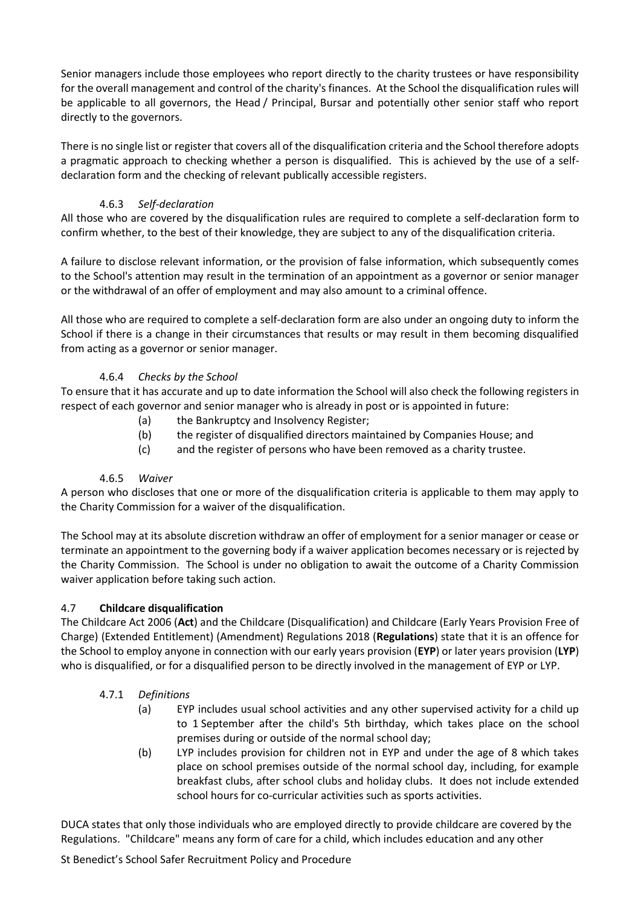Senior managers include those employees who report directly to the charity trustees or have responsibility for the overall management and control of the charity's finances. At the School the disqualification rules will be applicable to all governors, the Head / Principal, Bursar and potentially other senior staff who report directly to the governors.

There is no single list or register that covers all of the disqualification criteria and the School therefore adopts a pragmatic approach to checking whether a person is disqualified. This is achieved by the use of a selfdeclaration form and the checking of relevant publically accessible registers.

# 4.6.3 *Self-declaration*

All those who are covered by the disqualification rules are required to complete a self-declaration form to confirm whether, to the best of their knowledge, they are subject to any of the disqualification criteria.

A failure to disclose relevant information, or the provision of false information, which subsequently comes to the School's attention may result in the termination of an appointment as a governor or senior manager or the withdrawal of an offer of employment and may also amount to a criminal offence.

All those who are required to complete a self-declaration form are also under an ongoing duty to inform the School if there is a change in their circumstances that results or may result in them becoming disqualified from acting as a governor or senior manager.

## 4.6.4 *Checks by the School*

To ensure that it has accurate and up to date information the School will also check the following registers in respect of each governor and senior manager who is already in post or is appointed in future:

- (a) the Bankruptcy and Insolvency Register;
- (b) the register of disqualified directors maintained by Companies House; and
- (c) and the register of persons who have been removed as a charity trustee.

## 4.6.5 *Waiver*

A person who discloses that one or more of the disqualification criteria is applicable to them may apply to the Charity Commission for a waiver of the disqualification.

The School may at its absolute discretion withdraw an offer of employment for a senior manager or cease or terminate an appointment to the governing body if a waiver application becomes necessary or is rejected by the Charity Commission. The School is under no obligation to await the outcome of a Charity Commission waiver application before taking such action.

## <span id="page-10-0"></span>4.7 **Childcare disqualification**

The Childcare Act 2006 (**Act**) and the Childcare (Disqualification) and Childcare (Early Years Provision Free of Charge) (Extended Entitlement) (Amendment) Regulations 2018 (**Regulations**) state that it is an offence for the School to employ anyone in connection with our early years provision (**EYP**) or later years provision (**LYP**) who is disqualified, or for a disqualified person to be directly involved in the management of EYP or LYP.

# 4.7.1 *Definitions*

- (a) EYP includes usual school activities and any other supervised activity for a child up to 1 September after the child's 5th birthday, which takes place on the school premises during or outside of the normal school day;
- (b) LYP includes provision for children not in EYP and under the age of 8 which takes place on school premises outside of the normal school day, including, for example breakfast clubs, after school clubs and holiday clubs. It does not include extended school hours for co-curricular activities such as sports activities.

DUCA states that only those individuals who are employed directly to provide childcare are covered by the Regulations. "Childcare" means any form of care for a child, which includes education and any other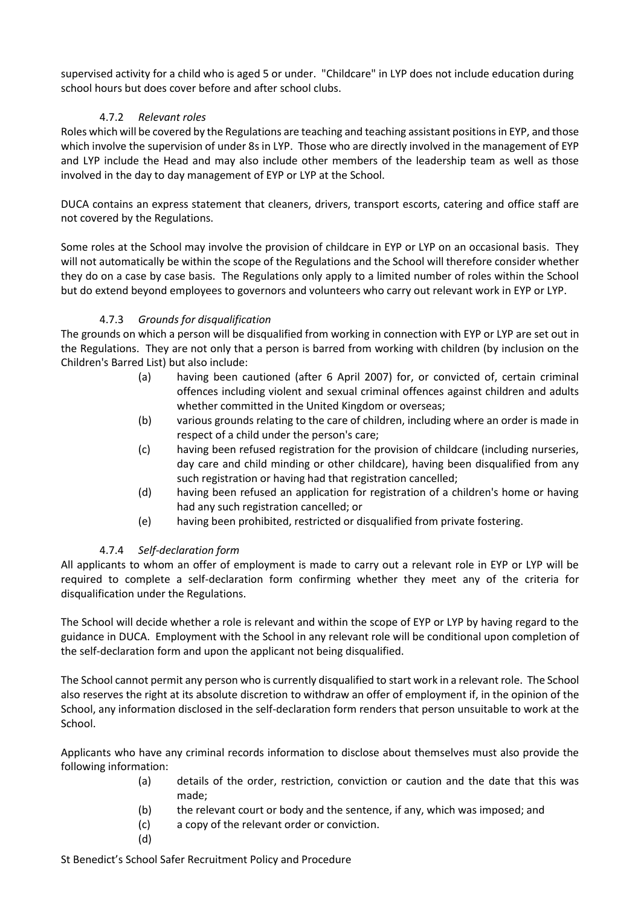supervised activity for a child who is aged 5 or under. "Childcare" in LYP does not include education during school hours but does cover before and after school clubs.

# 4.7.2 *Relevant roles*

Roles which will be covered by the Regulations are teaching and teaching assistant positions in EYP, and those which involve the supervision of under 8s in LYP. Those who are directly involved in the management of EYP and LYP include the Head and may also include other members of the leadership team as well as those involved in the day to day management of EYP or LYP at the School.

DUCA contains an express statement that cleaners, drivers, transport escorts, catering and office staff are not covered by the Regulations.

Some roles at the School may involve the provision of childcare in EYP or LYP on an occasional basis. They will not automatically be within the scope of the Regulations and the School will therefore consider whether they do on a case by case basis. The Regulations only apply to a limited number of roles within the School but do extend beyond employees to governors and volunteers who carry out relevant work in EYP or LYP.

## 4.7.3 *Grounds for disqualification*

The grounds on which a person will be disqualified from working in connection with EYP or LYP are set out in the Regulations. They are not only that a person is barred from working with children (by inclusion on the Children's Barred List) but also include:

- (a) having been cautioned (after 6 April 2007) for, or convicted of, certain criminal offences including violent and sexual criminal offences against children and adults whether committed in the United Kingdom or overseas;
- (b) various grounds relating to the care of children, including where an order is made in respect of a child under the person's care;
- (c) having been refused registration for the provision of childcare (including nurseries, day care and child minding or other childcare), having been disqualified from any such registration or having had that registration cancelled;
- (d) having been refused an application for registration of a children's home or having had any such registration cancelled; or
- (e) having been prohibited, restricted or disqualified from private fostering.

# 4.7.4 *Self-declaration form*

All applicants to whom an offer of employment is made to carry out a relevant role in EYP or LYP will be required to complete a self-declaration form confirming whether they meet any of the criteria for disqualification under the Regulations.

The School will decide whether a role is relevant and within the scope of EYP or LYP by having regard to the guidance in DUCA. Employment with the School in any relevant role will be conditional upon completion of the self-declaration form and upon the applicant not being disqualified.

The School cannot permit any person who is currently disqualified to start work in a relevant role. The School also reserves the right at its absolute discretion to withdraw an offer of employment if, in the opinion of the School, any information disclosed in the self-declaration form renders that person unsuitable to work at the School.

Applicants who have any criminal records information to disclose about themselves must also provide the following information:

- (a) details of the order, restriction, conviction or caution and the date that this was made;
- (b) the relevant court or body and the sentence, if any, which was imposed; and
- (c) a copy of the relevant order or conviction.
- (d)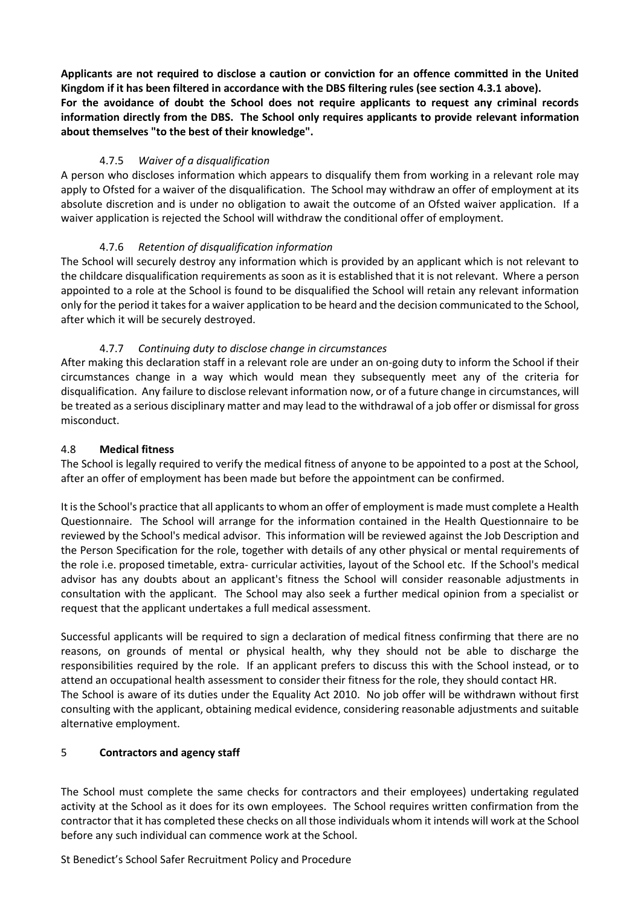**Applicants are not required to disclose a caution or conviction for an offence committed in the United Kingdom if it has been filtered in accordance with the DBS filtering rules (see section [4.3.1](#page-6-0) above). For the avoidance of doubt the School does not require applicants to request any criminal records information directly from the DBS. The School only requires applicants to provide relevant information about themselves "to the best of their knowledge".**

## 4.7.5 *Waiver of a disqualification*

A person who discloses information which appears to disqualify them from working in a relevant role may apply to Ofsted for a waiver of the disqualification. The School may withdraw an offer of employment at its absolute discretion and is under no obligation to await the outcome of an Ofsted waiver application. If a waiver application is rejected the School will withdraw the conditional offer of employment.

## 4.7.6 *Retention of disqualification information*

The School will securely destroy any information which is provided by an applicant which is not relevant to the childcare disqualification requirements as soon as it is established that it is not relevant. Where a person appointed to a role at the School is found to be disqualified the School will retain any relevant information only for the period it takes for a waiver application to be heard and the decision communicated to the School, after which it will be securely destroyed.

## 4.7.7 *Continuing duty to disclose change in circumstances*

After making this declaration staff in a relevant role are under an on-going duty to inform the School if their circumstances change in a way which would mean they subsequently meet any of the criteria for disqualification. Any failure to disclose relevant information now, or of a future change in circumstances, will be treated as a serious disciplinary matter and may lead to the withdrawal of a job offer or dismissal for gross misconduct.

#### <span id="page-12-1"></span>4.8 **Medical fitness**

The School is legally required to verify the medical fitness of anyone to be appointed to a post at the School, after an offer of employment has been made but before the appointment can be confirmed.

It is the School's practice that all applicants to whom an offer of employment is made must complete a Health Questionnaire. The School will arrange for the information contained in the Health Questionnaire to be reviewed by the School's medical advisor. This information will be reviewed against the Job Description and the Person Specification for the role, together with details of any other physical or mental requirements of the role i.e. proposed timetable, extra- curricular activities, layout of the School etc. If the School's medical advisor has any doubts about an applicant's fitness the School will consider reasonable adjustments in consultation with the applicant. The School may also seek a further medical opinion from a specialist or request that the applicant undertakes a full medical assessment.

Successful applicants will be required to sign a declaration of medical fitness confirming that there are no reasons, on grounds of mental or physical health, why they should not be able to discharge the responsibilities required by the role. If an applicant prefers to discuss this with the School instead, or to attend an occupational health assessment to consider their fitness for the role, they should contact HR. The School is aware of its duties under the Equality Act 2010. No job offer will be withdrawn without first consulting with the applicant, obtaining medical evidence, considering reasonable adjustments and suitable alternative employment.

## <span id="page-12-0"></span>5 **Contractors and agency staff**

The School must complete the same checks for contractors and their employees) undertaking regulated activity at the School as it does for its own employees. The School requires written confirmation from the contractor that it has completed these checks on all those individuals whom it intends will work at the School before any such individual can commence work at the School.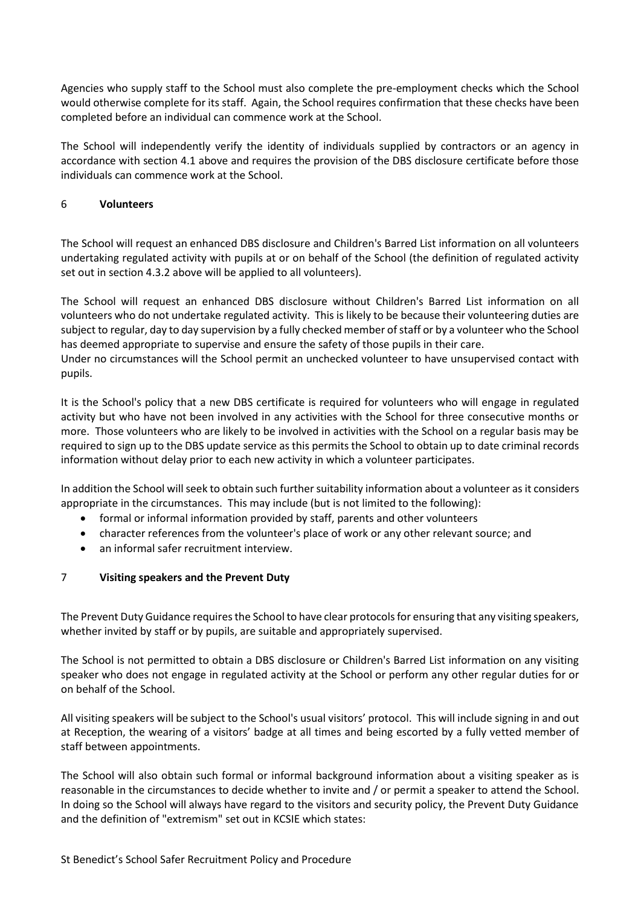Agencies who supply staff to the School must also complete the pre-employment checks which the School would otherwise complete for its staff. Again, the School requires confirmation that these checks have been completed before an individual can commence work at the School.

The School will independently verify the identity of individuals supplied by contractors or an agency in accordance with section [4.1](#page-4-1) above and requires the provision of the DBS disclosure certificate before those individuals can commence work at the School.

## <span id="page-13-0"></span>6 **Volunteers**

The School will request an enhanced DBS disclosure and Children's Barred List information on all volunteers undertaking regulated activity with pupils at or on behalf of the School (the definition of regulated activity set out in section [4.3.2](#page-7-0) above will be applied to all volunteers).

The School will request an enhanced DBS disclosure without Children's Barred List information on all volunteers who do not undertake regulated activity. This is likely to be because their volunteering duties are subject to regular, day to day supervision by a fully checked member of staff or by a volunteer who the School has deemed appropriate to supervise and ensure the safety of those pupils in their care.

Under no circumstances will the School permit an unchecked volunteer to have unsupervised contact with pupils.

It is the School's policy that a new DBS certificate is required for volunteers who will engage in regulated activity but who have not been involved in any activities with the School for three consecutive months or more. Those volunteers who are likely to be involved in activities with the School on a regular basis may be required to sign up to the DBS update service as this permits the School to obtain up to date criminal records information without delay prior to each new activity in which a volunteer participates.

In addition the School will seek to obtain such further suitability information about a volunteer as it considers appropriate in the circumstances. This may include (but is not limited to the following):

- formal or informal information provided by staff, parents and other volunteers
- character references from the volunteer's place of work or any other relevant source; and
- an informal safer recruitment interview.

## <span id="page-13-1"></span>7 **Visiting speakers and the Prevent Duty**

The Prevent Duty Guidance requires the School to have clear protocols for ensuring that any visiting speakers, whether invited by staff or by pupils, are suitable and appropriately supervised.

The School is not permitted to obtain a DBS disclosure or Children's Barred List information on any visiting speaker who does not engage in regulated activity at the School or perform any other regular duties for or on behalf of the School.

All visiting speakers will be subject to the School's usual visitors' protocol. This will include signing in and out at Reception, the wearing of a visitors' badge at all times and being escorted by a fully vetted member of staff between appointments.

The School will also obtain such formal or informal background information about a visiting speaker as is reasonable in the circumstances to decide whether to invite and / or permit a speaker to attend the School. In doing so the School will always have regard to the visitors and security policy, the Prevent Duty Guidance and the definition of "extremism" set out in KCSIE which states: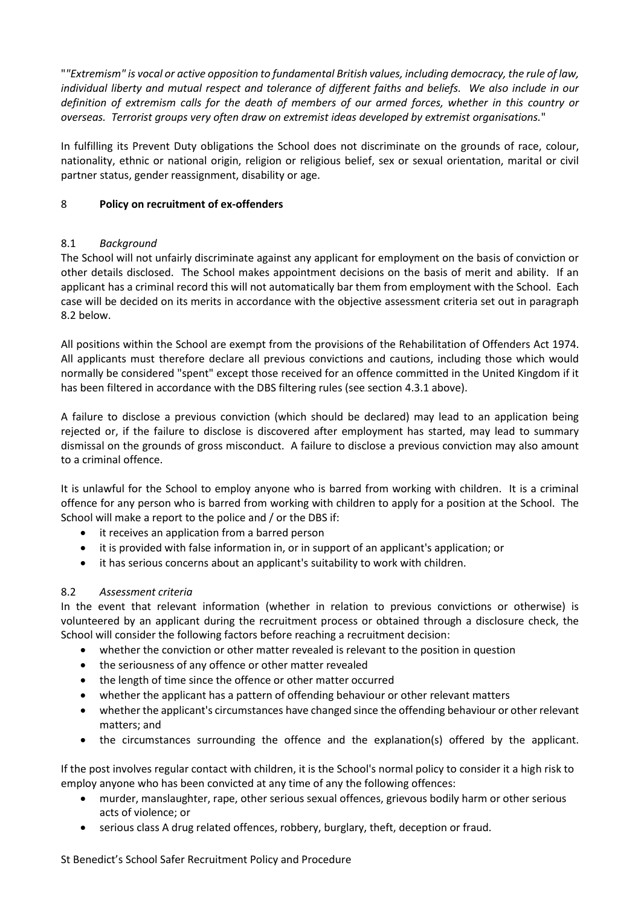"*"Extremism" is vocal or active opposition to fundamental British values, including democracy, the rule of law, individual liberty and mutual respect and tolerance of different faiths and beliefs. We also include in our definition of extremism calls for the death of members of our armed forces, whether in this country or overseas. Terrorist groups very often draw on extremist ideas developed by extremist organisations.*"

In fulfilling its Prevent Duty obligations the School does not discriminate on the grounds of race, colour, nationality, ethnic or national origin, religion or religious belief, sex or sexual orientation, marital or civil partner status, gender reassignment, disability or age.

## <span id="page-14-0"></span>8 **Policy on recruitment of ex-offenders**

## 8.1 *Background*

The School will not unfairly discriminate against any applicant for employment on the basis of conviction or other details disclosed. The School makes appointment decisions on the basis of merit and ability. If an applicant has a criminal record this will not automatically bar them from employment with the School. Each case will be decided on its merits in accordance with the objective assessment criteria set out in paragraph [8.2](#page-14-1) below.

All positions within the School are exempt from the provisions of the Rehabilitation of Offenders Act 1974. All applicants must therefore declare all previous convictions and cautions, including those which would normally be considered "spent" except those received for an offence committed in the United Kingdom if it has been filtered in accordance with the DBS filtering rules (see section [4.3.1](#page-6-0) above).

A failure to disclose a previous conviction (which should be declared) may lead to an application being rejected or, if the failure to disclose is discovered after employment has started, may lead to summary dismissal on the grounds of gross misconduct. A failure to disclose a previous conviction may also amount to a criminal offence.

It is unlawful for the School to employ anyone who is barred from working with children. It is a criminal offence for any person who is barred from working with children to apply for a position at the School. The School will make a report to the police and / or the DBS if:

- it receives an application from a barred person
- it is provided with false information in, or in support of an applicant's application; or
- it has serious concerns about an applicant's suitability to work with children.

## <span id="page-14-1"></span>8.2 *Assessment criteria*

In the event that relevant information (whether in relation to previous convictions or otherwise) is volunteered by an applicant during the recruitment process or obtained through a disclosure check, the School will consider the following factors before reaching a recruitment decision:

- whether the conviction or other matter revealed is relevant to the position in question
- the seriousness of any offence or other matter revealed
- the length of time since the offence or other matter occurred
- whether the applicant has a pattern of offending behaviour or other relevant matters
- whether the applicant's circumstances have changed since the offending behaviour or other relevant matters; and
- the circumstances surrounding the offence and the explanation(s) offered by the applicant.

If the post involves regular contact with children, it is the School's normal policy to consider it a high risk to employ anyone who has been convicted at any time of any the following offences:

- murder, manslaughter, rape, other serious sexual offences, grievous bodily harm or other serious acts of violence; or
- serious class A drug related offences, robbery, burglary, theft, deception or fraud.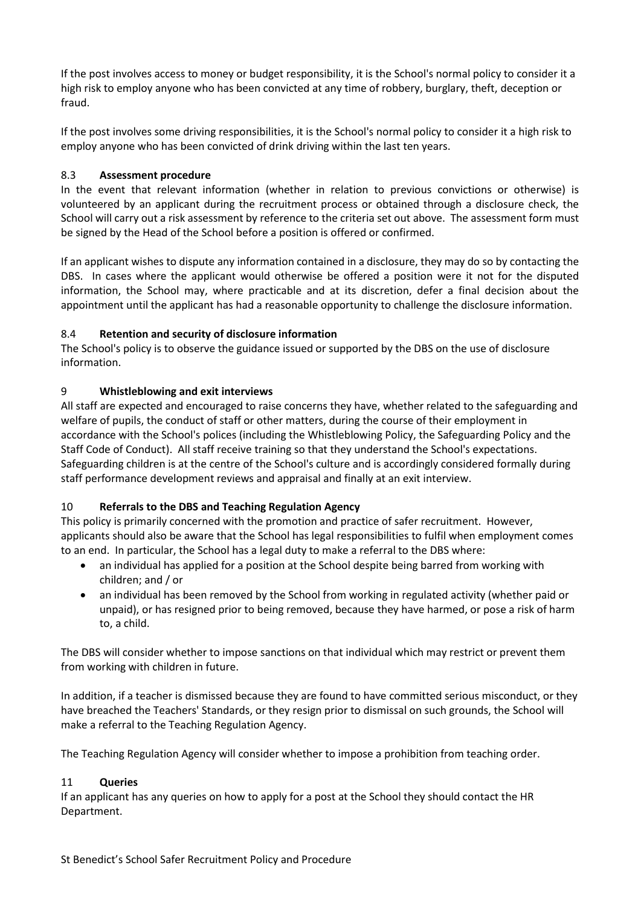If the post involves access to money or budget responsibility, it is the School's normal policy to consider it a high risk to employ anyone who has been convicted at any time of robbery, burglary, theft, deception or fraud.

If the post involves some driving responsibilities, it is the School's normal policy to consider it a high risk to employ anyone who has been convicted of drink driving within the last ten years.

#### 8.3 **Assessment procedure**

In the event that relevant information (whether in relation to previous convictions or otherwise) is volunteered by an applicant during the recruitment process or obtained through a disclosure check, the School will carry out a risk assessment by reference to the criteria set out above. The assessment form must be signed by the Head of the School before a position is offered or confirmed.

If an applicant wishes to dispute any information contained in a disclosure, they may do so by contacting the DBS. In cases where the applicant would otherwise be offered a position were it not for the disputed information, the School may, where practicable and at its discretion, defer a final decision about the appointment until the applicant has had a reasonable opportunity to challenge the disclosure information.

#### 8.4 **Retention and security of disclosure information**

The School's policy is to observe the guidance issued or supported by the DBS on the use of disclosure information.

#### <span id="page-15-0"></span>9 **Whistleblowing and exit interviews**

All staff are expected and encouraged to raise concerns they have, whether related to the safeguarding and welfare of pupils, the conduct of staff or other matters, during the course of their employment in accordance with the School's polices (including the Whistleblowing Policy, the Safeguarding Policy and the Staff Code of Conduct). All staff receive training so that they understand the School's expectations. Safeguarding children is at the centre of the School's culture and is accordingly considered formally during staff performance development reviews and appraisal and finally at an exit interview.

## <span id="page-15-1"></span>10 **Referrals to the DBS and Teaching Regulation Agency**

This policy is primarily concerned with the promotion and practice of safer recruitment. However, applicants should also be aware that the School has legal responsibilities to fulfil when employment comes to an end. In particular, the School has a legal duty to make a referral to the DBS where:

- an individual has applied for a position at the School despite being barred from working with children; and / or
- an individual has been removed by the School from working in regulated activity (whether paid or unpaid), or has resigned prior to being removed, because they have harmed, or pose a risk of harm to, a child.

The DBS will consider whether to impose sanctions on that individual which may restrict or prevent them from working with children in future.

In addition, if a teacher is dismissed because they are found to have committed serious misconduct, or they have breached the Teachers' Standards, or they resign prior to dismissal on such grounds, the School will make a referral to the Teaching Regulation Agency.

The Teaching Regulation Agency will consider whether to impose a prohibition from teaching order.

## <span id="page-15-2"></span>11 **Queries**

If an applicant has any queries on how to apply for a post at the School they should contact the HR Department.